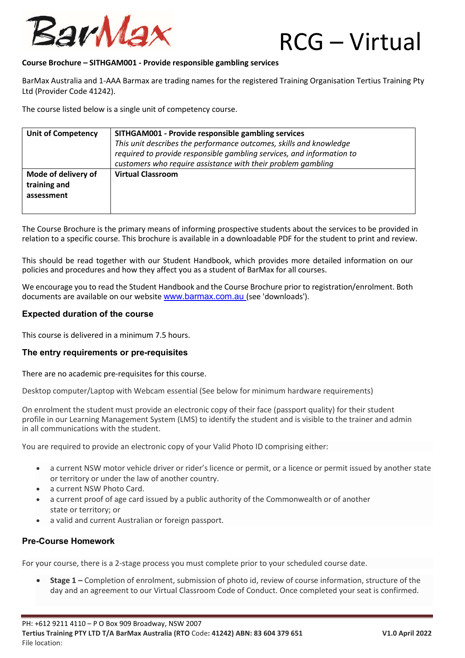

#### **Course Brochure – SITHGAM001 - Provide responsible gambling services**

BarMax Australia and 1-AAA Barmax are trading names for the registered Training Organisation Tertius Training Pty Ltd (Provider Code 41242).

The course listed below is a single unit of competency course.

| <b>Unit of Competency</b>                         | SITHGAM001 - Provide responsible gambling services<br>This unit describes the performance outcomes, skills and knowledge<br>required to provide responsible gambling services, and information to<br>customers who require assistance with their problem gambling |
|---------------------------------------------------|-------------------------------------------------------------------------------------------------------------------------------------------------------------------------------------------------------------------------------------------------------------------|
| Mode of delivery of<br>training and<br>assessment | <b>Virtual Classroom</b>                                                                                                                                                                                                                                          |

The Course Brochure is the primary means of informing prospective students about the services to be provided in relation to a specific course. This brochure is available in a downloadable PDF for the student to print and review.

This should be read together with our Student Handbook, which provides more detailed information on our policies and procedures and how they affect you as a student of BarMax for all courses.

We encourage you to read the Student Handbook and the Course Brochure prior to registration/enrolment. Both documents are available on our website www.barmax.com.au (see 'downloads').

#### **Expected duration of the course**

This course is delivered in a minimum 7.5 hours.

#### **The entry requirements or pre-requisites**

There are no academic pre-requisites for this course.

Desktop computer/Laptop with Webcam essential (See below for minimum hardware requirements)

On enrolment the student must provide an electronic copy of their face (passport quality) for their student profile in our Learning Management System (LMS) to identify the student and is visible to the trainer and admin in all communications with the student.

You are required to provide an electronic copy of your Valid Photo ID comprising either:

- a current NSW motor vehicle driver or rider's licence or permit, or a licence or permit issued by another state or territory or under the law of another country.
- a current NSW Photo Card.
- a current proof of age card issued by a public authority of the Commonwealth or of another state or territory; or
- a valid and current Australian or foreign passport.

#### **Pre-Course Homework**

For your course, there is a 2-stage process you must complete prior to your scheduled course date.

 **Stage 1 –** Completion of enrolment, submission of photo id, review of course information, structure of the day and an agreement to our Virtual Classroom Code of Conduct. Once completed your seat is confirmed.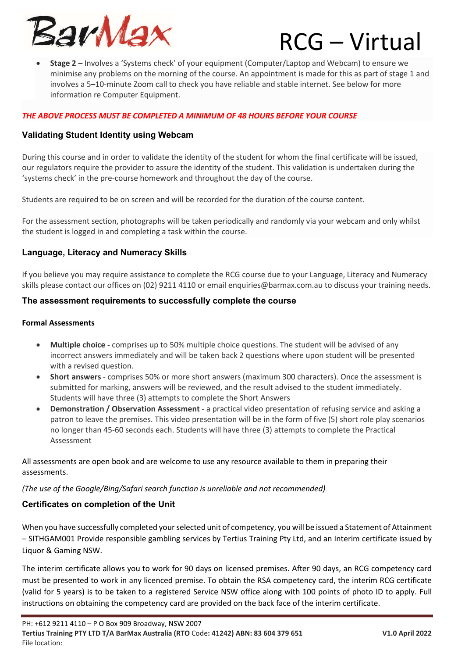

 **Stage 2 –** Involves a 'Systems check' of your equipment (Computer/Laptop and Webcam) to ensure we minimise any problems on the morning of the course. An appointment is made for this as part of stage 1 and involves a 5–10-minute Zoom call to check you have reliable and stable internet. See below for more information re Computer Equipment.

## *THE ABOVE PROCESS MUST BE COMPLETED A MINIMUM OF 48 HOURS BEFORE YOUR COURSE*

## **Validating Student Identity using Webcam**

During this course and in order to validate the identity of the student for whom the final certificate will be issued, our regulators require the provider to assure the identity of the student. This validation is undertaken during the 'systems check' in the pre-course homework and throughout the day of the course.

Students are required to be on screen and will be recorded for the duration of the course content.

For the assessment section, photographs will be taken periodically and randomly via your webcam and only whilst the student is logged in and completing a task within the course.

## **Language, Literacy and Numeracy Skills**

If you believe you may require assistance to complete the RCG course due to your Language, Literacy and Numeracy skills please contact our offices on (02) 9211 4110 or email enquiries@barmax.com.au to discuss your training needs.

## **The assessment requirements to successfully complete the course**

#### **Formal Assessments**

- **Multiple choice -** comprises up to 50% multiple choice questions. The student will be advised of any incorrect answers immediately and will be taken back 2 questions where upon student will be presented with a revised question.
- **Short answers** comprises 50% or more short answers (maximum 300 characters). Once the assessment is submitted for marking, answers will be reviewed, and the result advised to the student immediately. Students will have three (3) attempts to complete the Short Answers
- **Demonstration / Observation Assessment** a practical video presentation of refusing service and asking a patron to leave the premises. This video presentation will be in the form of five (5) short role play scenarios no longer than 45-60 seconds each. Students will have three (3) attempts to complete the Practical Assessment

All assessments are open book and are welcome to use any resource available to them in preparing their assessments.

## *(The use of the Google/Bing/Safari search function is unreliable and not recommended)*

## **Certificates on completion of the Unit**

When you have successfully completed your selected unit of competency, you will be issued a Statement of Attainment – SITHGAM001 Provide responsible gambling services by Tertius Training Pty Ltd, and an Interim certificate issued by Liquor & Gaming NSW.

The interim certificate allows you to work for 90 days on licensed premises. After 90 days, an RCG competency card must be presented to work in any licenced premise. To obtain the RSA competency card, the interim RCG certificate (valid for 5 years) is to be taken to a registered Service NSW office along with 100 points of photo ID to apply. Full instructions on obtaining the competency card are provided on the back face of the interim certificate.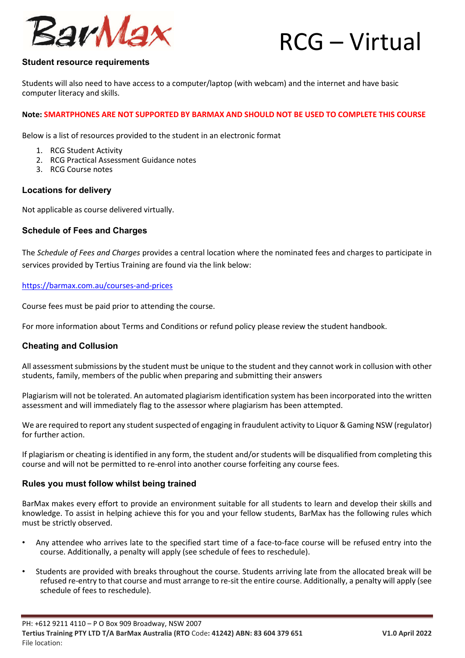

## **Student resource requirements**

Students will also need to have access to a computer/laptop (with webcam) and the internet and have basic computer literacy and skills.

## **Note: SMARTPHONES ARE NOT SUPPORTED BY BARMAX AND SHOULD NOT BE USED TO COMPLETE THIS COURSE**

Below is a list of resources provided to the student in an electronic format

- 1. RCG Student Activity
- 2. RCG Practical Assessment Guidance notes
- 3. RCG Course notes

#### **Locations for delivery**

Not applicable as course delivered virtually.

## **Schedule of Fees and Charges**

The *Schedule of Fees and Charges* provides a central location where the nominated fees and charges to participate in services provided by Tertius Training are found via the link below:

#### https://barmax.com.au/courses-and-prices

Course fees must be paid prior to attending the course.

For more information about Terms and Conditions or refund policy please review the student handbook.

#### **Cheating and Collusion**

All assessment submissions by the student must be unique to the student and they cannot work in collusion with other students, family, members of the public when preparing and submitting their answers

Plagiarism will not be tolerated. An automated plagiarism identification system has been incorporated into the written assessment and will immediately flag to the assessor where plagiarism has been attempted.

We are required to report any student suspected of engaging in fraudulent activity to Liquor & Gaming NSW (regulator) for further action.

If plagiarism or cheating is identified in any form, the student and/or students will be disqualified from completing this course and will not be permitted to re-enrol into another course forfeiting any course fees.

#### **Rules you must follow whilst being trained**

BarMax makes every effort to provide an environment suitable for all students to learn and develop their skills and knowledge. To assist in helping achieve this for you and your fellow students, BarMax has the following rules which must be strictly observed.

- Any attendee who arrives late to the specified start time of a face-to-face course will be refused entry into the course. Additionally, a penalty will apply (see schedule of fees to reschedule).
- Students are provided with breaks throughout the course. Students arriving late from the allocated break will be refused re-entry to that course and must arrange to re-sit the entire course. Additionally, a penalty will apply (see schedule of fees to reschedule).